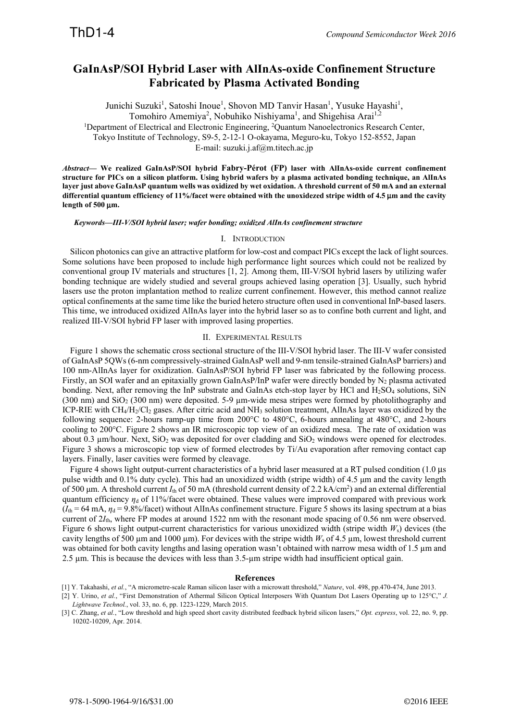# **GaInAsP/SOI Hybrid Laser with AlInAs-oxide Confinement Structure Fabricated by Plasma Activated Bonding**

Junichi Suzuki<sup>1</sup>, Satoshi Inoue<sup>1</sup>, Shovon MD Tanvir Hasan<sup>1</sup>, Yusuke Hayashi<sup>1</sup>, Tomohiro Amemiya<sup>2</sup>, Nobuhiko Nishiyama<sup>1</sup>, and Shigehisa Arai<sup>1,2</sup> <sup>1</sup>Department of Electrical and Electronic Engineering, <sup>2</sup>Quantum Nanoelectronics Research Center, Tokyo Institute of Technology, S9-5, 2-12-1 O-okayama, Meguro-ku, Tokyo 152-8552, Japan E-mail: suzuki.j.af@m.titech.ac.jp

*Abstract***— We realized GaInAsP/SOI hybrid Fabry-Pérot (FP) laser with AlInAs-oxide current confinement structure for PICs on a silicon platform. Using hybrid wafers by a plasma activated bonding technique, an AlInAs layer just above GaInAsP quantum wells was oxidized by wet oxidation. A threshold current of 50 mA and an external differential quantum efficiency of 11%/facet were obtained with the unoxidezed stripe width of 4.5** μ**m and the cavity length of 500** μ**m.** 

### *Keywords—III-V/SOI hybrid laser; wafer bonding; oxidized AlInAs confinement structure*

### I. INTRODUCTION

Silicon photonics can give an attractive platform for low-cost and compact PICs except the lack of light sources. Some solutions have been proposed to include high performance light sources which could not be realized by conventional group IV materials and structures [1, 2]. Among them, III-V/SOI hybrid lasers by utilizing wafer bonding technique are widely studied and several groups achieved lasing operation [3]. Usually, such hybrid lasers use the proton implantation method to realize current confinement. However, this method cannot realize optical confinements at the same time like the buried hetero structure often used in conventional InP-based lasers. This time, we introduced oxidized AlInAs layer into the hybrid laser so as to confine both current and light, and realized III-V/SOI hybrid FP laser with improved lasing properties.

## II. EXPERIMENTAL RESULTS

Figure 1 shows the schematic cross sectional structure of the III-V/SOI hybrid laser. The III-V wafer consisted of GaInAsP 5QWs (6-nm compressively-strained GaInAsP well and 9-nm tensile-strained GaInAsP barriers) and 100 nm-AlInAs layer for oxidization. GaInAsP/SOI hybrid FP laser was fabricated by the following process. Firstly, an SOI wafer and an epitaxially grown GaInAsP/InP wafer were directly bonded by N<sub>2</sub> plasma activated bonding. Next, after removing the InP substrate and GaInAs etch-stop layer by HCl and H<sub>2</sub>SO<sub>4</sub> solutions, SiN (300 nm) and SiO2 (300 nm) were deposited. 5-9 µm-wide mesa stripes were formed by photolithography and ICP-RIE with CH4/H2/Cl2 gases. After citric acid and NH3 solution treatment, AlInAs layer was oxidized by the following sequence: 2-hours ramp-up time from 200°C to 480°C, 6-hours annealing at 480°C, and 2-hours cooling to 200°C. Figure 2 shows an IR microscopic top view of an oxidized mesa. The rate of oxidation was about 0.3  $\mu$ m/hour. Next, SiO<sub>2</sub> was deposited for over cladding and SiO<sub>2</sub> windows were opened for electrodes. Figure 3 shows a microscopic top view of formed electrodes by Ti/Au evaporation after removing contact cap layers. Finally, laser cavities were formed by cleavage.

Figure 4 shows light output-current characteristics of a hybrid laser measured at a RT pulsed condition (1.0 μs pulse width and 0.1% duty cycle). This had an unoxidized width (stripe width) of 4.5 μm and the cavity length of 500 μm. A threshold current *I*th of 50 mA (threshold current density of 2.2 kA/cm<sup>2</sup>) and an external differential quantum efficiency  $\eta_d$  of 11%/facet were obtained. These values were improved compared with previous work  $(I<sub>th</sub>=64 \text{ mA}, \eta<sub>d</sub>=9.8\%/$ facet) without AlInAs confinement structure. Figure 5 shows its lasing spectrum at a bias current of 2*I*th, where FP modes at around 1522 nm with the resonant mode spacing of 0.56 nm were observed. Figure 6 shows light output-current characteristics for various unoxidized width (stripe width *W*s) devices (the cavity lengths of 500  $\mu$ m and 1000  $\mu$ m). For devices with the stripe width  $W_s$  of 4.5  $\mu$ m, lowest threshold current was obtained for both cavity lengths and lasing operation wasn't obtained with narrow mesa width of 1.5 µm and 2.5 µm. This is because the devices with less than 3.5-µm stripe width had insufficient optical gain.

#### **References**

[1] Y. Takahashi, *et al.*, "A micrometre-scale Raman silicon laser with a microwatt threshold," *Nature*, vol. 498, pp.470-474, June 2013.

<sup>[2]</sup> Y. Urino, *et al.*, "First Demonstration of Athermal Silicon Optical Interposers With Quantum Dot Lasers Operating up to 125°C," *J. Lightwave Technol.*, vol. 33, no. 6, pp. 1223-1229, March 2015.

<sup>[3]</sup> C. Zhang, *et al.*, "Low threshold and high speed short cavity distributed feedback hybrid silicon lasers," *Opt. express*, vol. 22, no. 9, pp. 10202-10209, Apr. 2014.